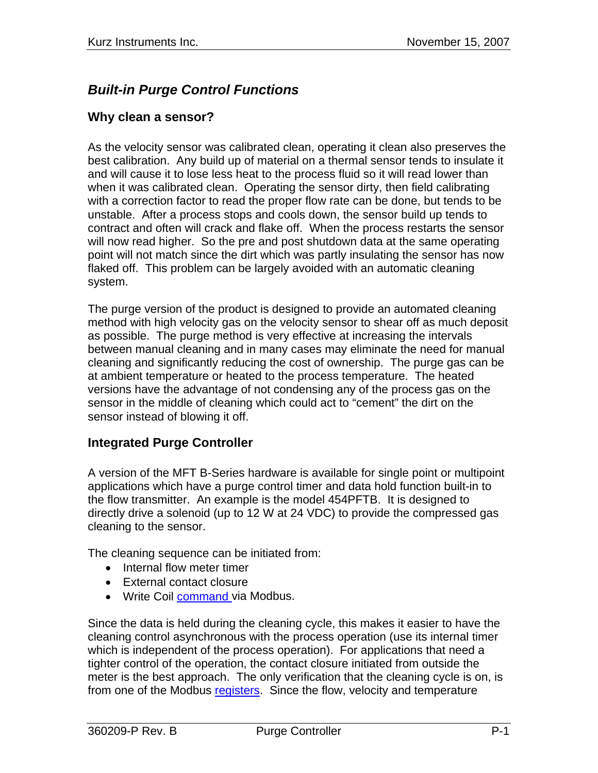# *Built-in Purge Control Functions*

#### **Why clean a sensor?**

As the velocity sensor was calibrated clean, operating it clean also preserves the best calibration. Any build up of material on a thermal sensor tends to insulate it and will cause it to lose less heat to the process fluid so it will read lower than when it was calibrated clean. Operating the sensor dirty, then field calibrating with a correction factor to read the proper flow rate can be done, but tends to be unstable. After a process stops and cools down, the sensor build up tends to contract and often will crack and flake off. When the process restarts the sensor will now read higher. So the pre and post shutdown data at the same operating point will not match since the dirt which was partly insulating the sensor has now flaked off. This problem can be largely avoided with an automatic cleaning system.

The purge version of the product is designed to provide an automated cleaning method with high velocity gas on the velocity sensor to shear off as much deposit as possible. The purge method is very effective at increasing the intervals between manual cleaning and in many cases may eliminate the need for manual cleaning and significantly reducing the cost of ownership. The purge gas can be at ambient temperature or heated to the process temperature. The heated versions have the advantage of not condensing any of the process gas on the sensor in the middle of cleaning which could act to "cement" the dirt on the sensor instead of blowing it off.

### **Integrated Purge Controller**

A version of the MFT B-Series hardware is available for single point or multipoint applications which have a purge control timer and data hold function built-in to the flow transmitter. An example is the model 454PFTB. It is designed to directly drive a solenoid (up to 12 W at 24 VDC) to provide the compressed gas cleaning to the sensor.

The cleaning sequence can be initiated from:

- Internal flow meter timer
- External contact closure
- Write Coil [command](#page-3-0) via Modbus.

Since the data is held during the cleaning cycle, this makes it easier to have the cleaning control asynchronous with the process operation (use its internal timer which is independent of the process operation). For applications that need a tighter control of the operation, the contact closure initiated from outside the meter is the best approach. The only verification that the cleaning cycle is on, is from one of the Modbus registers. Since the flow, velocity and temperature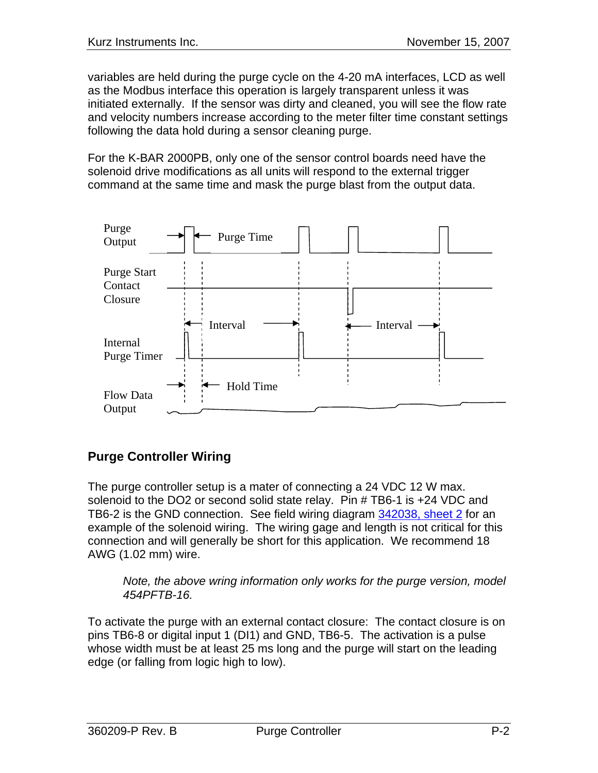variables are held during the purge cycle on the 4-20 mA interfaces, LCD as well as the Modbus interface this operation is largely transparent unless it was initiated externally. If the sensor was dirty and cleaned, you will see the flow rate and velocity numbers increase according to the meter filter time constant settings following the data hold during a sensor cleaning purge.

For the K-BAR 2000PB, only one of the sensor control boards need have the solenoid drive modifications as all units will respond to the external trigger command at the same time and mask the purge blast from the output data.



## **Purge Controller Wiring**

The purge controller setup is a mater of connecting a 24 VDC 12 W max. solenoid to the DO2 or second solid state relay. Pin # TB6-1 is +24 VDC and TB6-2 is the GND connection. See field wiring diagram 342038, sheet 2 for an example of the solenoid wiring. The wiring gage and length is not critical for this connection and will generally be short for this application. We recommend 18 AWG (1.02 mm) wire.

*Note, the above wring information only works for the purge version, model 454PFTB-16.* 

To activate the purge with an external contact closure: The contact closure is on pins TB6-8 or digital input 1 (DI1) and GND, TB6-5. The activation is a pulse whose width must be at least 25 ms long and the purge will start on the leading edge (or falling from logic high to low).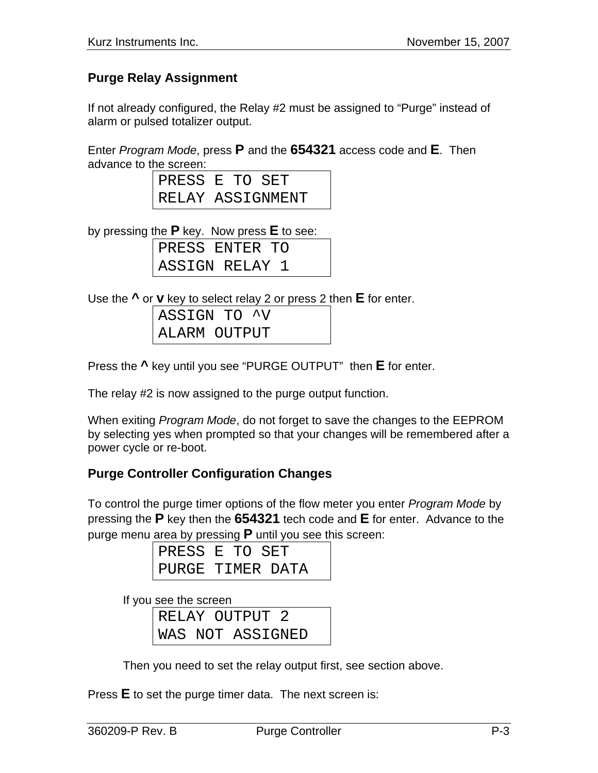### **Purge Relay Assignment**

If not already configured, the Relay #2 must be assigned to "Purge" instead of alarm or pulsed totalizer output.

Enter *Program Mode*, press **P** and the **654321** access code and **E**. Then advance to the screen:

| PRESS E TO SET |                  |  |  |
|----------------|------------------|--|--|
|                | RELAY ASSIGNMENT |  |  |

by pressing the **P** key. Now press **E** to see:

PRESS ENTER TO ASSIGN RELAY 1

Use the **^** or **v** key to select relay 2 or press 2 then **E** for enter.

| ASSIGN TO ^V |  |  |
|--------------|--|--|
| ALARM OUTPUT |  |  |

Press the **^** key until you see "PURGE OUTPUT" then **E** for enter.

The relay #2 is now assigned to the purge output function.

When exiting *Program Mode*, do not forget to save the changes to the EEPROM by selecting yes when prompted so that your changes will be remembered after a power cycle or re-boot.

### **Purge Controller Configuration Changes**

To control the purge timer options of the flow meter you enter *Program Mode* by pressing the **P** key then the **654321** tech code and **E** for enter. Advance to the purge menu area by pressing **P** until you see this screen:

| PRESS E TO SET   |  |
|------------------|--|
| PURGE TIMER DATA |  |

If you see the screen

|  | RELAY OUTPUT 2   |  |
|--|------------------|--|
|  | WAS NOT ASSIGNED |  |

Then you need to set the relay output first, see section above.

Press **E** to set the purge timer data. The next screen is: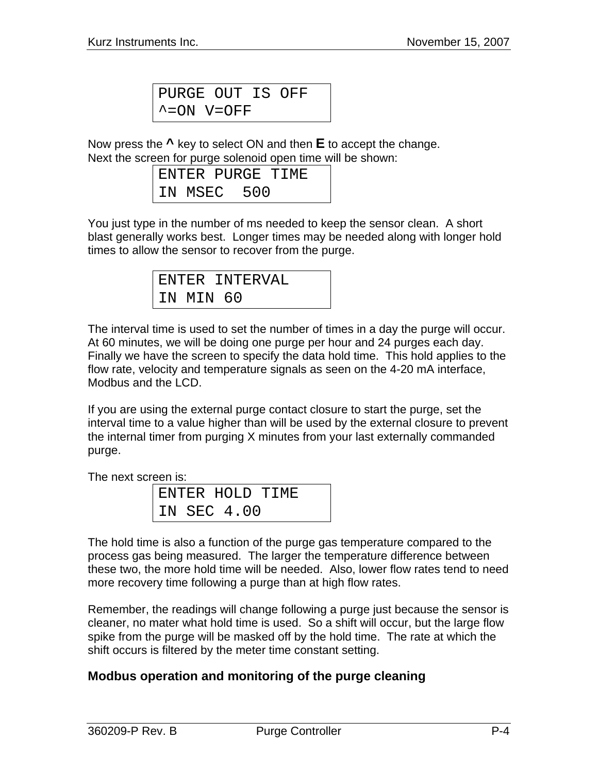PURGE OUT IS OFF  $\textdegree$  = ON V=OFF

<span id="page-3-0"></span>Now press the **^** key to select ON and then **E** to accept the change. Next the screen for purge solenoid open time will be shown:

|  |             | ENTER PURGE TIME |
|--|-------------|------------------|
|  | IN MSEC 500 |                  |

You just type in the number of ms needed to keep the sensor clean. A short blast generally works best. Longer times may be needed along with longer hold times to allow the sensor to recover from the purge.

|           | ENTER INTERVAL |
|-----------|----------------|
| IN MIN 60 |                |

The interval time is used to set the number of times in a day the purge will occur. At 60 minutes, we will be doing one purge per hour and 24 purges each day. Finally we have the screen to specify the data hold time. This hold applies to the flow rate, velocity and temperature signals as seen on the 4-20 mA interface, Modbus and the LCD.

If you are using the external purge contact closure to start the purge, set the interval time to a value higher than will be used by the external closure to prevent the internal timer from purging X minutes from your last externally commanded purge.

The next screen is:

|  |             | ENTER HOLD TIME |  |
|--|-------------|-----------------|--|
|  | IN SEC 4.00 |                 |  |

The hold time is also a function of the purge gas temperature compared to the process gas being measured. The larger the temperature difference between these two, the more hold time will be needed. Also, lower flow rates tend to need more recovery time following a purge than at high flow rates.

Remember, the readings will change following a purge just because the sensor is cleaner, no mater what hold time is used. So a shift will occur, but the large flow spike from the purge will be masked off by the hold time. The rate at which the shift occurs is filtered by the meter time constant setting.

### **Modbus operation and monitoring of the purge cleaning**